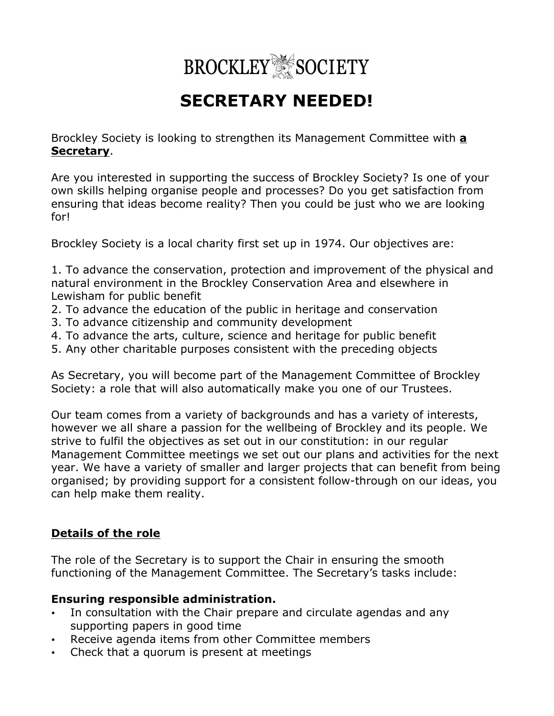

# **SECRETARY NEEDED!**

Brockley Society is looking to strengthen its Management Committee with **a Secretary**.

Are you interested in supporting the success of Brockley Society? Is one of your own skills helping organise people and processes? Do you get satisfaction from ensuring that ideas become reality? Then you could be just who we are looking for!

Brockley Society is a local charity first set up in 1974. Our objectives are:

1. To advance the conservation, protection and improvement of the physical and natural environment in the Brockley Conservation Area and elsewhere in Lewisham for public benefit

- 2. To advance the education of the public in heritage and conservation
- 3. To advance citizenship and community development
- 4. To advance the arts, culture, science and heritage for public benefit
- 5. Any other charitable purposes consistent with the preceding objects

As Secretary, you will become part of the Management Committee of Brockley Society: a role that will also automatically make you one of our Trustees.

Our team comes from a variety of backgrounds and has a variety of interests, however we all share a passion for the wellbeing of Brockley and its people. We strive to fulfil the objectives as set out in our constitution: in our regular Management Committee meetings we set out our plans and activities for the next year. We have a variety of smaller and larger projects that can benefit from being organised; by providing support for a consistent follow-through on our ideas, you can help make them reality.

## **Details of the role**

The role of the Secretary is to support the Chair in ensuring the smooth functioning of the Management Committee. The Secretary's tasks include:

## **Ensuring responsible administration.**

- In consultation with the Chair prepare and circulate agendas and any supporting papers in good time
- Receive agenda items from other Committee members
- Check that a quorum is present at meetings